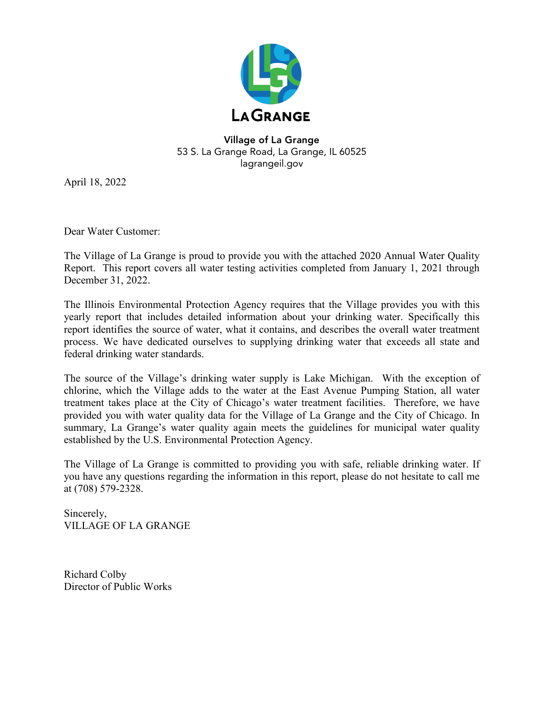

### Village of La Grange 53 S. La Grange Road, La Grange, IL 60525 lagrangeil.gov

April 18, 2022

Dear Water Customer:

The Village of La Grange is proud to provide you with the attached 2020 Annual Water Quality Report. This report covers all water testing activities completed from January 1, 2021 through December 31, 2022.

The Illinois Environmental Protection Agency requires that the Village provides you with this yearly report that includes detailed information about your drinking water. Specifically this report identifies the source of water, what it contains, and describes the overall water treatment process. We have dedicated ourselves to supplying drinking water that exceeds all state and federal drinking water standards.

The source of the Village's drinking water supply is Lake Michigan. With the exception of chlorine, which the Village adds to the water at the East Avenue Pumping Station, all water treatment takes place at the City of Chicago's water treatment facilities. Therefore, we have provided you with water quality data for the Village of La Grange and the City of Chicago. In summary, La Grange's water quality again meets the guidelines for municipal water quality established by the U.S. Environmental Protection Agency.

The Village of La Grange is committed to providing you with safe, reliable drinking water. If you have any questions regarding the information in this report, please do not hesitate to call me at (708) 579-2328.

Sincerely, VILLAGE OF LA GRANGE

Richard Colby Director of Public Works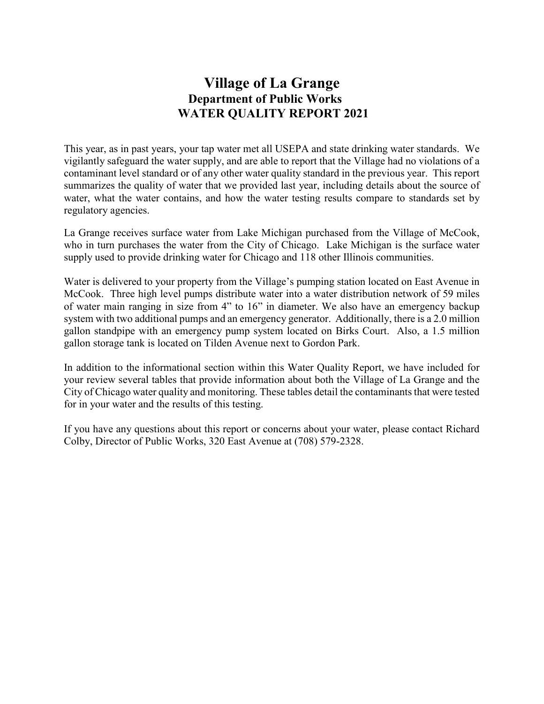# **Village of La Grange Department of Public Works WATER QUALITY REPORT 2021**

This year, as in past years, your tap water met all USEPA and state drinking water standards. We vigilantly safeguard the water supply, and are able to report that the Village had no violations of a contaminant level standard or of any other water quality standard in the previous year. This report summarizes the quality of water that we provided last year, including details about the source of water, what the water contains, and how the water testing results compare to standards set by regulatory agencies.

La Grange receives surface water from Lake Michigan purchased from the Village of McCook, who in turn purchases the water from the City of Chicago. Lake Michigan is the surface water supply used to provide drinking water for Chicago and 118 other Illinois communities.

Water is delivered to your property from the Village's pumping station located on East Avenue in McCook. Three high level pumps distribute water into a water distribution network of 59 miles of water main ranging in size from 4" to 16" in diameter. We also have an emergency backup system with two additional pumps and an emergency generator. Additionally, there is a 2.0 million gallon standpipe with an emergency pump system located on Birks Court. Also, a 1.5 million gallon storage tank is located on Tilden Avenue next to Gordon Park.

In addition to the informational section within this Water Quality Report, we have included for your review several tables that provide information about both the Village of La Grange and the City of Chicago water quality and monitoring. These tables detail the contaminants that were tested for in your water and the results of this testing.

If you have any questions about this report or concerns about your water, please contact Richard Colby, Director of Public Works, 320 East Avenue at (708) 579-2328.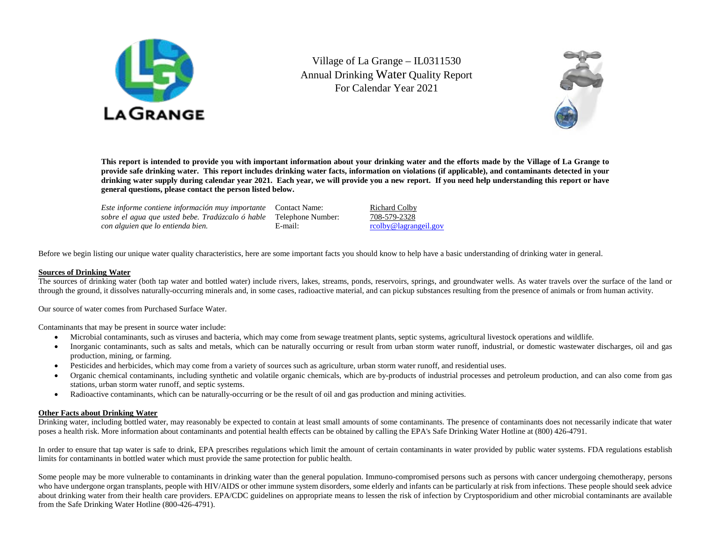

Village of La Grange – IL0311530 Annual Drinking Water Quality Report For Calendar Year 2021



**This report is intended to provide you with important information about your drinking water and the efforts made by the Village of La Grange to provide safe drinking water. This report includes drinking water facts, information on violations (if applicable), and contaminants detected in your drinking water supply during calendar year 2021. Each year, we will provide you a new report. If you need help understanding this report or have general questions, please contact the person listed below.**

*Este informe contiene información muy importante sobre el agua que usted bebe. Tradúzcalo ó hable*  Telephone Number: 708-579-2328 *con alguien que lo entienda bien.* Contact Name: Richard Colby

E-mail: rcolby@lagrangeil.gov

Before we begin listing our unique water quality characteristics, here are some important facts you should know to help have a basic understanding of drinking water in general.

#### **Sources of Drinking Water**

The sources of drinking water (both tap water and bottled water) include rivers, lakes, streams, ponds, reservoirs, springs, and groundwater wells. As water travels over the surface of the land or through the ground, it dissolves naturally-occurring minerals and, in some cases, radioactive material, and can pickup substances resulting from the presence of animals or from human activity.

Our source of water comes from Purchased Surface Water.

Contaminants that may be present in source water include:

- Microbial contaminants, such as viruses and bacteria, which may come from sewage treatment plants, septic systems, agricultural livestock operations and wildlife.
- Inorganic contaminants, such as salts and metals, which can be naturally occurring or result from urban storm water runoff, industrial, or domestic wastewater discharges, oil and gas production, mining, or farming.
- Pesticides and herbicides, which may come from a variety of sources such as agriculture, urban storm water runoff, and residential uses.
- Organic chemical contaminants, including synthetic and volatile organic chemicals, which are by-products of industrial processes and petroleum production, and can also come from gas stations, urban storm water runoff, and septic systems.
- Radioactive contaminants, which can be naturally-occurring or be the result of oil and gas production and mining activities.

#### **Other Facts about Drinking Water**

Drinking water, including bottled water, may reasonably be expected to contain at least small amounts of some contaminants. The presence of contaminants does not necessarily indicate that water poses a health risk. More information about contaminants and potential health effects can be obtained by calling the EPA's Safe Drinking Water Hotline at (800) 426-4791.

In order to ensure that tap water is safe to drink, EPA prescribes regulations which limit the amount of certain contaminants in water provided by public water systems. FDA regulations establish limits for contaminants in bottled water which must provide the same protection for public health.

Some people may be more vulnerable to contaminants in drinking water than the general population. Immuno-compromised persons such as persons with cancer undergoing chemotherapy, persons who have undergone organ transplants, people with HIV/AIDS or other immune system disorders, some elderly and infants can be particularly at risk from infections. These people should seek advice about drinking water from their health care providers. EPA/CDC guidelines on appropriate means to lessen the risk of infection by Cryptosporidium and other microbial contaminants are available from the Safe Drinking Water Hotline (800-426-4791).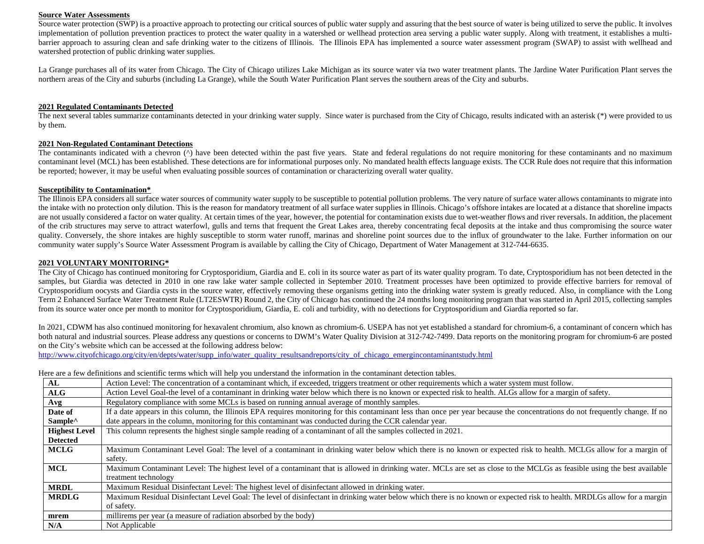#### **Source Water Assessments**

Source water protection (SWP) is a proactive approach to protecting our critical sources of public water supply and assuring that the best source of water is being utilized to serve the public. It involves implementation of pollution prevention practices to protect the water quality in a watershed or wellhead protection area serving a public water supply. Along with treatment, it establishes a multibarrier approach to assuring clean and safe drinking water to the citizens of Illinois. The Illinois EPA has implemented a source water assessment program (SWAP) to assist with wellhead and watershed protection of public drinking water supplies.

La Grange purchases all of its water from Chicago. The City of Chicago utilizes Lake Michigan as its source water via two water treatment plants. The Jardine Water Purification Plant serves the northern areas of the City and suburbs (including La Grange), while the South Water Purification Plant serves the southern areas of the City and suburbs.

#### **2021 Regulated Contaminants Detected**

The next several tables summarize contaminants detected in your drinking water supply. Since water is purchased from the City of Chicago, results indicated with an asterisk (\*) were provided to us by them.

#### **2021 Non-Regulated Contaminant Detections**

The contaminants indicated with a chevron (^) have been detected within the past five years. State and federal regulations do not require monitoring for these contaminants and no maximum contaminant level (MCL) has been established. These detections are for informational purposes only. No mandated health effects language exists. The CCR Rule does not require that this information be reported; however, it may be useful when evaluating possible sources of contamination or characterizing overall water quality.

#### **Susceptibility to Contamination\***

The Illinois EPA considers all surface water sources of community water supply to be susceptible to potential pollution problems. The very nature of surface water allows contaminants to migrate into the intake with no protection only dilution. This is the reason for mandatory treatment of all surface water supplies in Illinois. Chicago's offshore intakes are located at a distance that shoreline impacts are not usually considered a factor on water quality. At certain times of the year, however, the potential for contamination exists due to wet-weather flows and river reversals. In addition, the placement of the crib structures may serve to attract waterfowl, gulls and terns that frequent the Great Lakes area, thereby concentrating fecal deposits at the intake and thus compromising the source water quality. Conversely, the shore intakes are highly susceptible to storm water runoff, marinas and shoreline point sources due to the influx of groundwater to the lake. Further information on our community water supply's Source Water Assessment Program is available by calling the City of Chicago, Department of Water Management at 312-744-6635.

#### **2021 VOLUNTARY MONITORING\***

The City of Chicago has continued monitoring for Cryptosporidium, Giardia and E. coli in its source water as part of its water quality program. To date, Cryptosporidium has not been detected in the samples, but Giardia was detected in 2010 in one raw lake water sample collected in September 2010. Treatment processes have been optimized to provide effective barriers for removal of Cryptosporidium oocysts and Giardia cysts in the source water, effectively removing these organisms getting into the drinking water system is greatly reduced. Also, in compliance with the Long Term 2 Enhanced Surface Water Treatment Rule (LT2ESWTR) Round 2, the City of Chicago has continued the 24 months long monitoring program that was started in April 2015, collecting samples from its source water once per month to monitor for Cryptosporidium, Giardia, E. coli and turbidity, with no detections for Cryptosporidium and Giardia reported so far.

In 2021, CDWM has also continued monitoring for hexavalent chromium, also known as chromium-6. USEPA has not yet established a standard for chromium-6, a contaminant of concern which has both natural and industrial sources. Please address any questions or concerns to DWM's Water Quality Division at 312-742-7499. Data reports on the monitoring program for chromium-6 are posted on the City's website which can be accessed at the following address below:

[http://www.cityofchicago.org/city/en/depts/water/supp\\_info/water\\_quality\\_resultsandreports/city\\_of\\_chicago\\_emergincontaminantstudy.html](http://www.cityofchicago.org/city/en/depts/water/supp_info/water_quality_resultsandreports/city_of_chicago_emergincontaminantstudy.html)

Here are a few definitions and scientific terms which will help you understand the information in the contaminant detection tables.

| AL                   | Action Level: The concentration of a contaminant which, if exceeded, triggers treatment or other requirements which a water system must follow.                                |
|----------------------|--------------------------------------------------------------------------------------------------------------------------------------------------------------------------------|
| ALG                  | Action Level Goal-the level of a contaminant in drinking water below which there is no known or expected risk to health. ALGs allow for a margin of safety.                    |
| Avg                  | Regulatory compliance with some MCLs is based on running annual average of monthly samples.                                                                                    |
| Date of              | If a date appears in this column, the Illinois EPA requires monitoring for this contaminant less than once per year because the concentrations do not frequently change. If no |
| Sample <sup>^</sup>  | date appears in the column, monitoring for this contaminant was conducted during the CCR calendar year.                                                                        |
| <b>Highest Level</b> | This column represents the highest single sample reading of a contaminant of all the samples collected in 2021.                                                                |
| <b>Detected</b>      |                                                                                                                                                                                |
| <b>MCLG</b>          | Maximum Contaminant Level Goal: The level of a contaminant in drinking water below which there is no known or expected risk to health. MCLGs allow for a margin of             |
|                      | safety.                                                                                                                                                                        |
| <b>MCL</b>           | Maximum Contaminant Level: The highest level of a contaminant that is allowed in drinking water. MCLs are set as close to the MCLGs as feasible using the best available       |
|                      | treatment technology                                                                                                                                                           |
| <b>MRDL</b>          | Maximum Residual Disinfectant Level: The highest level of disinfectant allowed in drinking water.                                                                              |
| <b>MRDLG</b>         | Maximum Residual Disinfectant Level Goal: The level of disinfectant in drinking water below which there is no known or expected risk to health. MRDLGs allow for a margin      |
|                      | of safety.                                                                                                                                                                     |
| mrem                 | millirems per year (a measure of radiation absorbed by the body)                                                                                                               |
| N/A                  | Not Applicable                                                                                                                                                                 |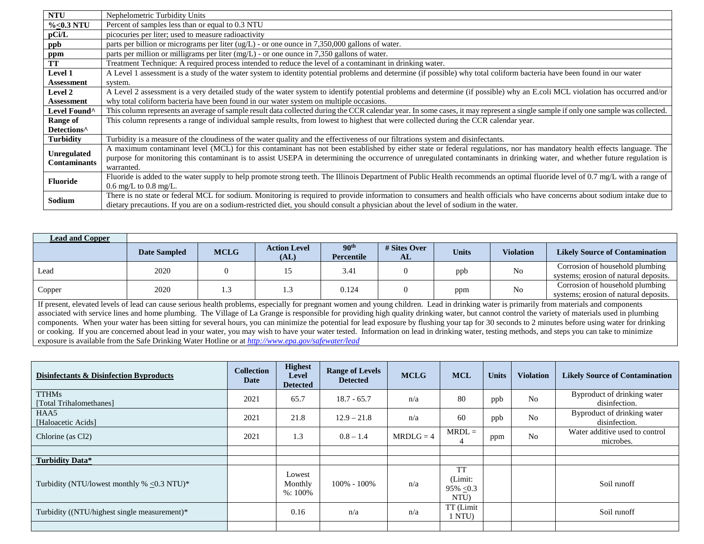| <b>NTU</b>              | Nephelometric Turbidity Units                                                                                                                                                     |
|-------------------------|-----------------------------------------------------------------------------------------------------------------------------------------------------------------------------------|
| $\% < 0.3$ NTU          | Percent of samples less than or equal to 0.3 NTU                                                                                                                                  |
| pCi/L                   | picocuries per liter; used to measure radioactivity                                                                                                                               |
| ppb                     | parts per billion or micrograms per liter (ug/L) - or one ounce in 7,350,000 gallons of water.                                                                                    |
| ppm                     | parts per million or milligrams per liter (mg/L) - or one ounce in 7,350 gallons of water.                                                                                        |
| TT                      | Treatment Technique: A required process intended to reduce the level of a contaminant in drinking water.                                                                          |
| Level 1                 | A Level 1 assessment is a study of the water system to identity potential problems and determine (if possible) why total coliform bacteria have been found in our water           |
| <b>Assessment</b>       | system.                                                                                                                                                                           |
| <b>Level 2</b>          | A Level 2 assessment is a very detailed study of the water system to identify potential problems and determine (if possible) why an E.coli MCL violation has occurred and/or      |
| <b>Assessment</b>       | why total coliform bacteria have been found in our water system on multiple occasions.                                                                                            |
| Level Found^            | This column represents an average of sample result data collected during the CCR calendar year. In some cases, it may represent a single sample if only one sample was collected. |
| Range of                | This column represents a range of individual sample results, from lowest to highest that were collected during the CCR calendar year.                                             |
| Detections <sup>^</sup> |                                                                                                                                                                                   |
| <b>Turbidity</b>        | Turbidity is a measure of the cloudiness of the water quality and the effectiveness of our filtrations system and disinfectants.                                                  |
| <b>Unregulated</b>      | A maximum contaminant level (MCL) for this contaminant has not been established by either state or federal regulations, nor has mandatory health effects language. The            |
| Contaminants            | purpose for monitoring this contaminant is to assist USEPA in determining the occurrence of unregulated contaminants in drinking water, and whether future regulation is          |
|                         | warranted.                                                                                                                                                                        |
| <b>Fluoride</b>         | Fluoride is added to the water supply to help promote strong teeth. The Illinois Department of Public Health recommends an optimal fluoride level of 0.7 mg/L with a range of     |
|                         | $0.6 \text{ mg/L}$ to $0.8 \text{ mg/L}$ .                                                                                                                                        |
| <b>Sodium</b>           | There is no state or federal MCL for sodium. Monitoring is required to provide information to consumers and health officials who have concerns about sodium intake due to         |
|                         | dietary precautions. If you are on a sodium-restricted diet, you should consult a physician about the level of sodium in the water.                                               |

| <b>Lead and Copper</b>                                                                                                                                                                                                                                                                                                                                                                         |                     |             |                             |                                |                    |              |                  |                                                                          |
|------------------------------------------------------------------------------------------------------------------------------------------------------------------------------------------------------------------------------------------------------------------------------------------------------------------------------------------------------------------------------------------------|---------------------|-------------|-----------------------------|--------------------------------|--------------------|--------------|------------------|--------------------------------------------------------------------------|
|                                                                                                                                                                                                                                                                                                                                                                                                | <b>Date Sampled</b> | <b>MCLG</b> | <b>Action Level</b><br>(AL) | 90 <sup>th</sup><br>Percentile | # Sites Over<br>AL | <b>Units</b> | <b>Violation</b> | <b>Likely Source of Contamination</b>                                    |
| Lead                                                                                                                                                                                                                                                                                                                                                                                           | 2020                |             |                             | 3.41                           |                    | ppb          | No               | Corrosion of household plumbing<br>systems; erosion of natural deposits. |
| Corrosion of household plumbing<br>2020<br>No<br>0.124<br>Copper<br>.3<br>ppm<br>systems; erosion of natural deposits.                                                                                                                                                                                                                                                                         |                     |             |                             |                                |                    |              |                  |                                                                          |
| If present, elevated levels of lead can cause serious health problems, especially for pregnant women and young children. Lead in drinking water is primarily from materials and components<br>associated with service lines and home plumbing. The Village of La Grange is responsible for providing high quality dripking water, but cannot control the variety of materials used in plumbing |                     |             |                             |                                |                    |              |                  |                                                                          |

associated with service lines and home plumbing. The Village of La Grange is responsible for providing high quality drinking water, but cannot control the variety of materials used in plumbing components. When your water has been sitting for several hours, you can minimize the potential for lead exposure by flushing your tap for 30 seconds to 2 minutes before using water for drinking or cooking. If you are concerned about lead in your water, you may wish to have your water tested. Information on lead in drinking water, testing methods, and steps you can take to minimize exposure is available from the Safe Drinking Water Hotline or at *<http://www.epa.gov/safewater/lead>*

| Disinfectants & Disinfection Byproducts       | <b>Collection</b><br>Date | <b>Highest</b><br><b>Level</b><br><b>Detected</b> | <b>Range of Levels</b><br><b>Detected</b> | <b>MCLG</b> | <b>MCL</b>                                     | <b>Units</b> | <b>Violation</b> | <b>Likely Source of Contamination</b>        |
|-----------------------------------------------|---------------------------|---------------------------------------------------|-------------------------------------------|-------------|------------------------------------------------|--------------|------------------|----------------------------------------------|
| <b>TTHMs</b><br>[Total Trihalomethanes]       | 2021                      | 65.7                                              | $18.7 - 65.7$                             | n/a         | 80                                             | ppb          | N <sub>0</sub>   | Byproduct of drinking water<br>disinfection. |
| HAA5<br>[Haloacetic Acids]                    | 2021                      | 21.8                                              | $12.9 - 21.8$                             | n/a         | 60                                             | ppb          | N <sub>0</sub>   | Byproduct of drinking water<br>disinfection. |
| Chlorine (as Cl <sub>2</sub> )                | 2021                      | 1.3                                               | $0.8 - 1.4$                               | $MRDLG = 4$ | $MRDL =$<br>4                                  | ppm          | N <sub>o</sub>   | Water additive used to control<br>microbes.  |
|                                               |                           |                                                   |                                           |             |                                                |              |                  |                                              |
| Turbidity Data*                               |                           |                                                   |                                           |             |                                                |              |                  |                                              |
| Turbidity (NTU/lowest monthly $% < 0.3$ NTU)* |                           | Lowest<br>Monthly<br>$%:100\%$                    | 100% - 100%                               | n/a         | <b>TT</b><br>(Limit:<br>$95\% \le 0.3$<br>NTU) |              |                  | Soil runoff                                  |
| Turbidity ((NTU/highest single measurement)*  |                           | 0.16                                              | n/a                                       | n/a         | TT (Limit<br>1 NTU)                            |              |                  | Soil runoff                                  |
|                                               |                           |                                                   |                                           |             |                                                |              |                  |                                              |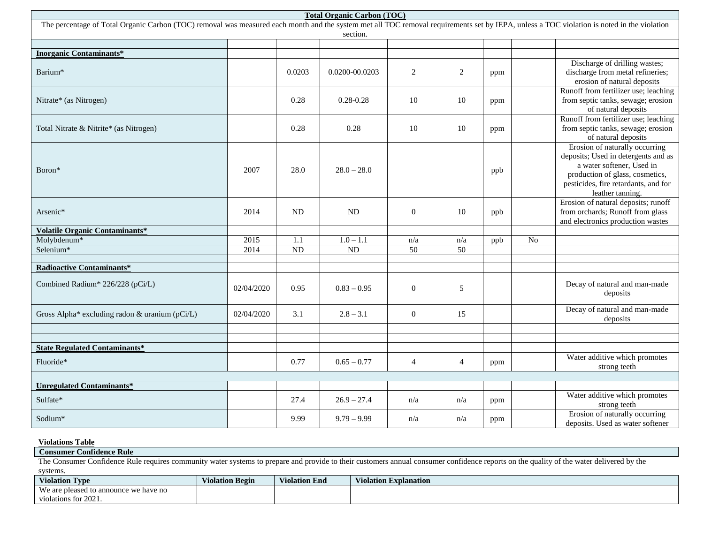| <b>Total Organic Carbon (TOC)</b>                                                                                                                                                                      |            |        |                |                  |                 |     |                |                                                                                                                                                                                                   |
|--------------------------------------------------------------------------------------------------------------------------------------------------------------------------------------------------------|------------|--------|----------------|------------------|-----------------|-----|----------------|---------------------------------------------------------------------------------------------------------------------------------------------------------------------------------------------------|
| The percentage of Total Organic Carbon (TOC) removal was measured each month and the system met all TOC removal requirements set by IEPA, unless a TOC violation is noted in the violation<br>section. |            |        |                |                  |                 |     |                |                                                                                                                                                                                                   |
|                                                                                                                                                                                                        |            |        |                |                  |                 |     |                |                                                                                                                                                                                                   |
| <b>Inorganic Contaminants*</b>                                                                                                                                                                         |            |        |                |                  |                 |     |                |                                                                                                                                                                                                   |
| Barium*                                                                                                                                                                                                |            | 0.0203 | 0.0200-00.0203 | $\overline{c}$   | $\overline{2}$  | ppm |                | Discharge of drilling wastes;<br>discharge from metal refineries;<br>erosion of natural deposits                                                                                                  |
| Nitrate* (as Nitrogen)                                                                                                                                                                                 |            | 0.28   | $0.28 - 0.28$  | 10               | 10              | ppm |                | Runoff from fertilizer use; leaching<br>from septic tanks, sewage; erosion<br>of natural deposits                                                                                                 |
| Total Nitrate & Nitrite* (as Nitrogen)                                                                                                                                                                 |            | 0.28   | 0.28           | 10               | 10              | ppm |                | Runoff from fertilizer use; leaching<br>from septic tanks, sewage; erosion<br>of natural deposits                                                                                                 |
| Boron*                                                                                                                                                                                                 | 2007       | 28.0   | $28.0 - 28.0$  |                  |                 | ppb |                | Erosion of naturally occurring<br>deposits; Used in detergents and as<br>a water softener, Used in<br>production of glass, cosmetics,<br>pesticides, fire retardants, and for<br>leather tanning. |
| Arsenic*                                                                                                                                                                                               | 2014       | ND     | <b>ND</b>      | $\boldsymbol{0}$ | 10              | ppb |                | Erosion of natural deposits; runoff<br>from orchards; Runoff from glass<br>and electronics production wastes                                                                                      |
| <b>Volatile Organic Contaminants*</b>                                                                                                                                                                  |            |        |                |                  |                 |     |                |                                                                                                                                                                                                   |
| Molybdenum*                                                                                                                                                                                            | 2015       | 1.1    | $1.0 - 1.1$    | n/a              | n/a             | ppb | N <sub>o</sub> |                                                                                                                                                                                                   |
| Selenium*                                                                                                                                                                                              | 2014       | ND     | <b>ND</b>      | $\overline{50}$  | $\overline{50}$ |     |                |                                                                                                                                                                                                   |
|                                                                                                                                                                                                        |            |        |                |                  |                 |     |                |                                                                                                                                                                                                   |
| <b>Radioactive Contaminants*</b><br>Combined Radium* 226/228 (pCi/L)                                                                                                                                   | 02/04/2020 | 0.95   | $0.83 - 0.95$  | $\mathbf{0}$     | 5               |     |                | Decay of natural and man-made                                                                                                                                                                     |
|                                                                                                                                                                                                        |            |        |                |                  |                 |     |                | deposits                                                                                                                                                                                          |
| Gross Alpha* excluding radon & uranium (pCi/L)                                                                                                                                                         | 02/04/2020 | 3.1    | $2.8 - 3.1$    | $\overline{0}$   | 15              |     |                | Decay of natural and man-made<br>deposits                                                                                                                                                         |
|                                                                                                                                                                                                        |            |        |                |                  |                 |     |                |                                                                                                                                                                                                   |
| <b>State Regulated Contaminants*</b>                                                                                                                                                                   |            |        |                |                  |                 |     |                |                                                                                                                                                                                                   |
| Fluoride*                                                                                                                                                                                              |            | 0.77   | $0.65 - 0.77$  | $\overline{4}$   | $\overline{4}$  | ppm |                | Water additive which promotes<br>strong teeth                                                                                                                                                     |
|                                                                                                                                                                                                        |            |        |                |                  |                 |     |                |                                                                                                                                                                                                   |
| <b>Unregulated Contaminants*</b>                                                                                                                                                                       |            |        |                |                  |                 |     |                |                                                                                                                                                                                                   |
| Sulfate*                                                                                                                                                                                               |            | 27.4   | $26.9 - 27.4$  | n/a              | n/a             | ppm |                | Water additive which promotes<br>strong teeth                                                                                                                                                     |
| Sodium*                                                                                                                                                                                                |            | 9.99   | $9.79 - 9.99$  | n/a              | n/a             | ppm |                | Erosion of naturally occurring<br>deposits. Used as water softener                                                                                                                                |

**Violations Table**

**Consumer Confidence Rule** The Consumer Confidence Rule requires community water systems to prepare and provide to their customers annual consumer confidence reports on the quality of the water delivered by the systems.

| <b>Violation Type</b>                      | $T^*$ $\cdots$<br><b>Violation Begin</b> | T<br>- - -<br>Violation End | $\mathbf{v}$<br>Violation Explanation |
|--------------------------------------------|------------------------------------------|-----------------------------|---------------------------------------|
| We are pleased to<br>b announce we have no |                                          |                             |                                       |
| violations for 2021.                       |                                          |                             |                                       |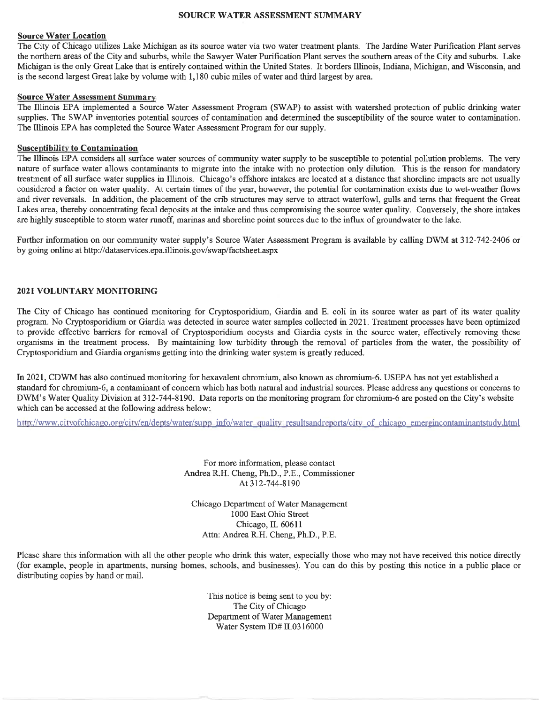#### **SOURCE WATER ASSESSMENT SUMMARY**

#### **Source Water Location**

The City of Chicago utilizes Lake Michigan as its source water via two water treatment plants. The Jardine Water Purification Plant serves the northern areas of the City and suburbs, while the Sawyer Water Purification Plant serves the southern areas of the City and suburbs. Lake Michigan is the only Great Lake that is entirely contained within the United States. It borders Illinois, Indiana, Michigan, and Wisconsin, and is the second largest Great lake by volume with 1,180 cubic miles of water and third largest by area.

#### **Source Water Assessment Summary**

The Illinois EPA implemented a Source Water Assessment Program (SWAP) to assist with watershed protection of public drinking water supplies. The SWAP inventories potential sources of contamination and determined the susceptibility of the source water to contamination. The Illinois EPA has completed the Source Water Assessment Program for our supply.

#### **Susceptibility to Contamination**

The Illinois EPA considers all surface water sources of community water supply to be susceptible to potential pollution problems. The very nature of surface water allows contaminants to migrate into the intake with no protection only dilution. This is the reason for mandatory treatment of all surface water supplies in Illinois. Chicago's offshore intakes are located at a distance that shoreline impacts are not usually considered a factor on water quality. At certain times of the year, however, the potential for contamination exists due to wet-weather flows and river reversals. In addition, the placement of the crib structures may serve to attract waterfowl, gulls and terns that frequent the Great Lakes area, thereby concentrating fecal deposits at the intake and thus compromising the source water quality. Conversely, the shore intakes are highly susceptible to storm water runoff, marinas and shoreline point sources due to the influx of groundwater to the lake.

Further information on our community water supply's Source Water Assessment Program is available by calling DWM at 312-742-2406 or by going online at http://dataservices.epa.illinois.gov/swap/factsheet.aspx

#### 2021 VOLUNTARY MONITORING

The City of Chicago has continued monitoring for Cryptosporidium, Giardia and E. coli in its source water as part of its water quality program. No Cryptosporidium or Giardia was detected in source water samples collected in 2021. Treatment processes have been optimized to provide effective barriers for removal of Cryptosporidium oocysts and Giardia cysts in the source water, effectively removing these organisms in the treatment process. By maintaining low turbidity through the removal of particles from the water, the possibility of Cryptosporidium and Giardia organisms getting into the drinking water system is greatly reduced.

In 2021, CDWM has also continued monitoring for hexavalent chromium, also known as chromium-6. USEPA has not yet established a standard for chromium-6, a contaminant of concern which has both natural and industrial sources. Please address any questions or concerns to DWM's Water Quality Division at 312-744-8190. Data reports on the monitoring program for chromium-6 are posted on the City's website which can be accessed at the following address below:

http://www.cityofchicago.org/city/en/depts/water/supp\_info/water\_quality\_resultsandreports/city\_of\_chicago\_emergincontaminantstudy.html

For more information, please contact Andrea R.H. Cheng, Ph.D., P.E., Commissioner At 312-744-8190

Chicago Department of Water Management 1000 East Ohio Street Chicago, IL 60611 Attn: Andrea R.H. Cheng, Ph.D., P.E.

Please share this information with all the other people who drink this water, especially those who may not have received this notice directly (for example, people in apartments, nursing homes, schools, and businesses). You can do this by posting this notice in a public place or distributing copies by hand or mail.

> This notice is being sent to you by: The City of Chicago Department of Water Management Water System ID# IL0316000